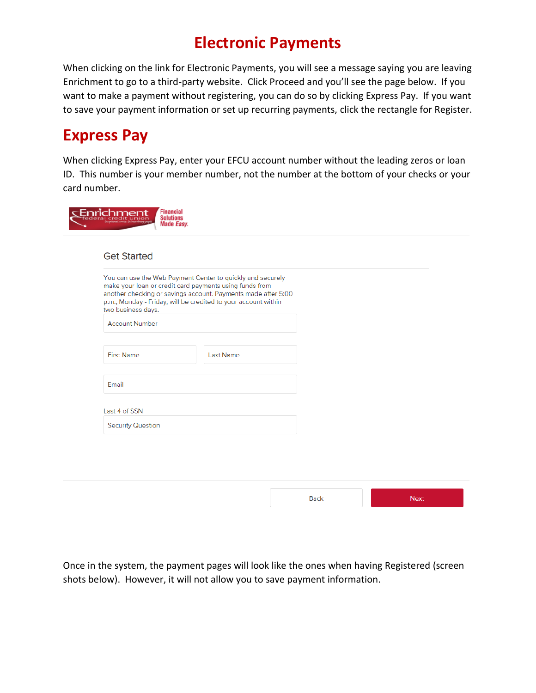## **Electronic Payments**

When clicking on the link for Electronic Payments, you will see a message saying you are leaving Enrichment to go to a third-party website. Click Proceed and you'll see the page below. If you want to make a payment without registering, you can do so by clicking Express Pay. If you want to save your payment information or set up recurring payments, click the rectangle for Register.

## **Express Pay**

moop Financial

When clicking Express Pay, enter your EFCU account number without the leading zeros or loan ID. This number is your member number, not the number at the bottom of your checks or your card number.

| You can use the Web Payment Center to quickly and securely<br>make your loan or credit card payments using funds from<br>another checking or savings account. Payments made after 5:00<br>p.m., Monday - Friday, will be credited to your account within<br>two business days. |                  |  |
|--------------------------------------------------------------------------------------------------------------------------------------------------------------------------------------------------------------------------------------------------------------------------------|------------------|--|
| <b>Account Number</b>                                                                                                                                                                                                                                                          |                  |  |
| <b>First Name</b>                                                                                                                                                                                                                                                              | <b>Last Name</b> |  |
| Email                                                                                                                                                                                                                                                                          |                  |  |
| Last 4 of SSN                                                                                                                                                                                                                                                                  |                  |  |
| <b>Security Question</b>                                                                                                                                                                                                                                                       |                  |  |
|                                                                                                                                                                                                                                                                                |                  |  |

Once in the system, the payment pages will look like the ones when having Registered (screen shots below). However, it will not allow you to save payment information.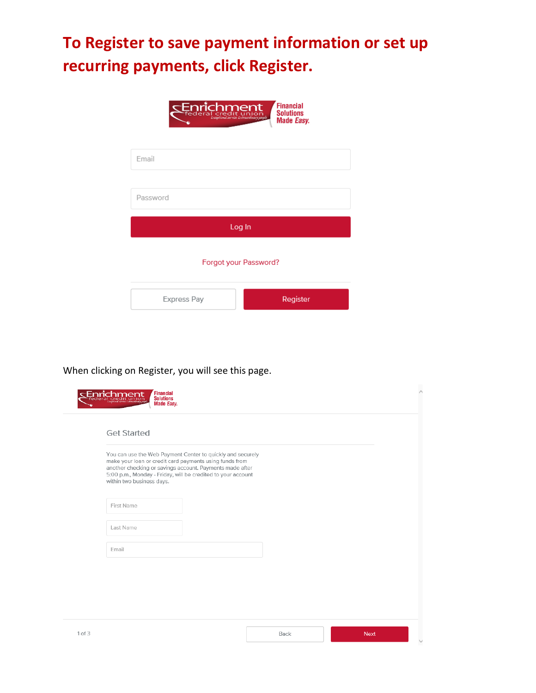# **To Register to save payment information or set up recurring payments, click Register.**



When clicking on Register, you will see this page.

|       |                           | You can use the Web Payment Center to quickly and securely                                                                                                                          |  |  |
|-------|---------------------------|-------------------------------------------------------------------------------------------------------------------------------------------------------------------------------------|--|--|
|       | within two business days. | make your loan or credit card payments using funds from<br>another checking or savings account. Payments made after<br>5:00 p.m., Monday - Friday, will be credited to your account |  |  |
|       | First Name                |                                                                                                                                                                                     |  |  |
|       | Last Name                 |                                                                                                                                                                                     |  |  |
| Email |                           |                                                                                                                                                                                     |  |  |
|       |                           |                                                                                                                                                                                     |  |  |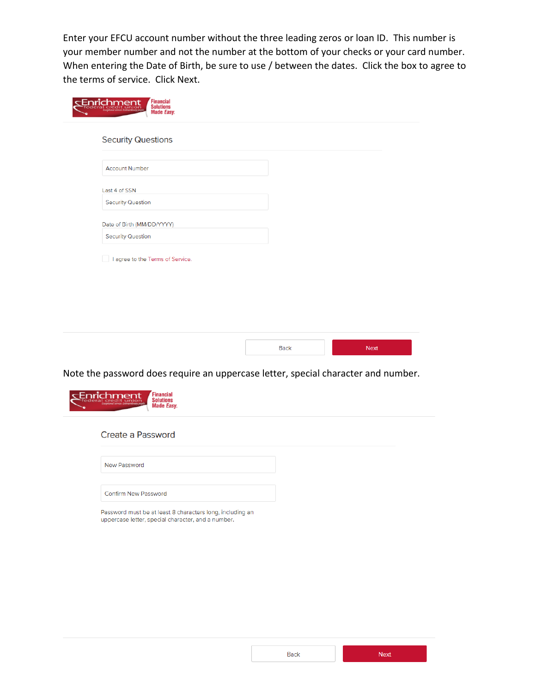Enter your EFCU account number without the three leading zeros or loan ID. This number is your member number and not the number at the bottom of your checks or your card number. When entering the Date of Birth, be sure to use / between the dates. Click the box to agree to the terms of service. Click Next.

| <b>Security Questions</b>        |  |
|----------------------------------|--|
| <b>Account Number</b>            |  |
| Last 4 of SSN                    |  |
| <b>Security Question</b>         |  |
| Date of Birth (MM/DD/YYYY)       |  |
| <b>Security Question</b>         |  |
| I agree to the Terms of Service. |  |
|                                  |  |

Note the password does require an uppercase letter, special character and number.

| <b>Financial</b><br>richment<br><b>Solutions</b><br>Exambined service Extraordinary popula<br><b>Made Easy.</b> |  |
|-----------------------------------------------------------------------------------------------------------------|--|
| Create a Password                                                                                               |  |
| New Password                                                                                                    |  |
| Confirm New Password                                                                                            |  |
| Password must be at least 8 characters long, including an<br>uppercase letter, special character, and a number. |  |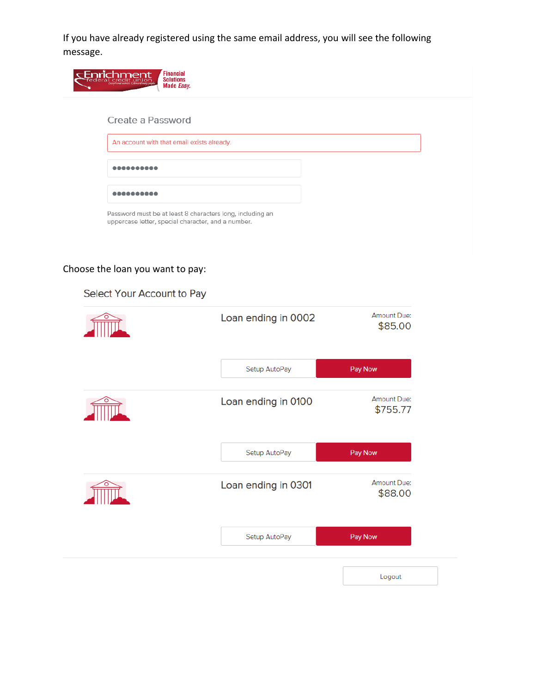If you have already registered using the same email address, you will see the following message.



### Choose the loan you want to pay:

| Loan ending in 0002 | <b>Amount Due:</b><br>\$85.00 |
|---------------------|-------------------------------|
| Setup AutoPay       | Pay Now                       |
| Loan ending in 0100 | Amount Due:<br>\$755.77       |
| Setup AutoPay       | Pay Now                       |
| Loan ending in 0301 | <b>Amount Due:</b><br>\$88.00 |
| Setup AutoPay       | Pay Now                       |

Logout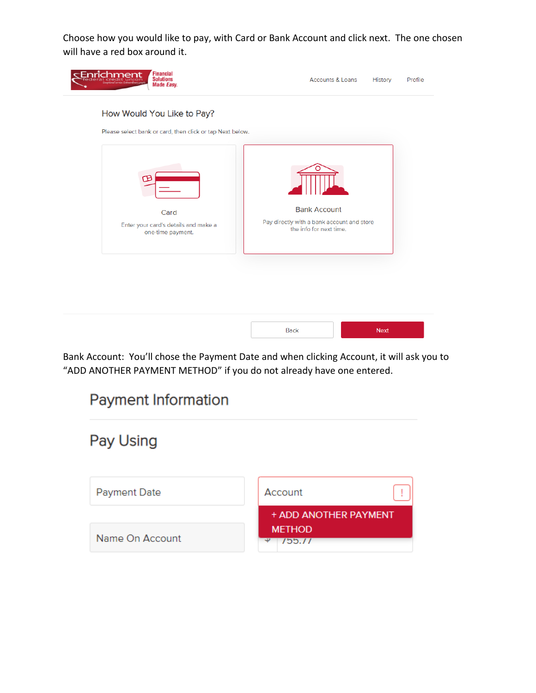Choose how you would like to pay, with Card or Bank Account and click next. The one chosen will have a red box around it.



Bank Account: You'll chose the Payment Date and when clicking Account, it will ask you to "ADD ANOTHER PAYMENT METHOD" if you do not already have one entered.

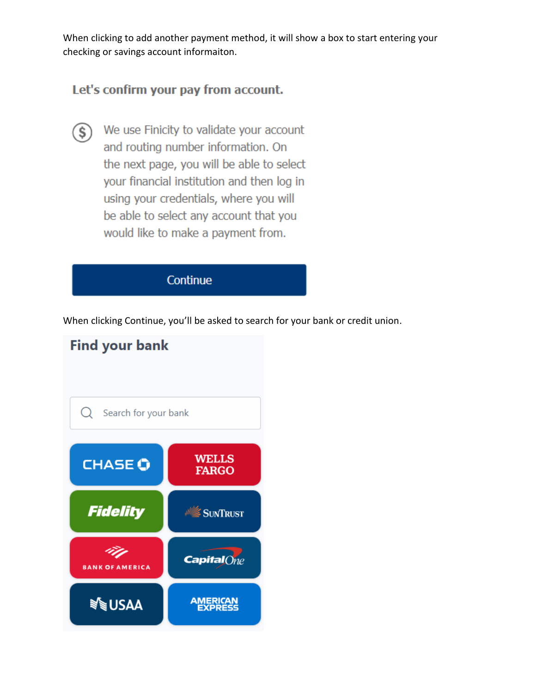When clicking to add another payment method, it will show a box to start entering your checking or savings account informaiton.

### Let's confirm your pay from account.

We use Finicity to validate your account  $\mathbf{S}$ and routing number information. On the next page, you will be able to select your financial institution and then log in using your credentials, where you will be able to select any account that you would like to make a payment from.

Continue

When clicking Continue, you'll be asked to search for your bank or credit union.

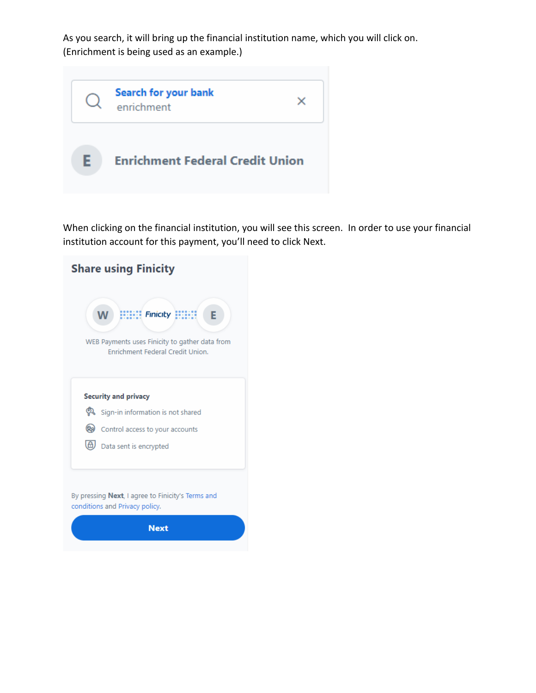As you search, it will bring up the financial institution name, which you will click on. (Enrichment is being used as an example.)



When clicking on the financial institution, you will see this screen. In order to use your financial institution account for this payment, you'll need to click Next.

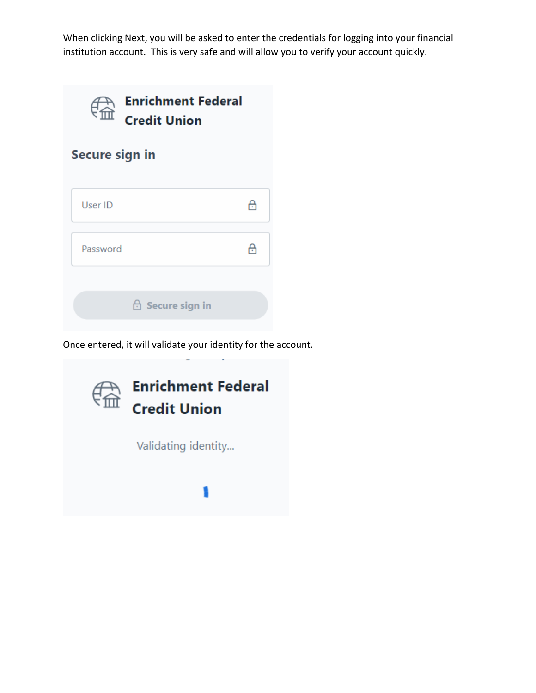When clicking Next, you will be asked to enter the credentials for logging into your financial institution account. This is very safe and will allow you to verify your account quickly.



**Secure sign in** 

| User ID  |                         | A |
|----------|-------------------------|---|
| Password |                         |   |
|          | <b>A</b> Secure sign in |   |

Once entered, it will validate your identity for the account.

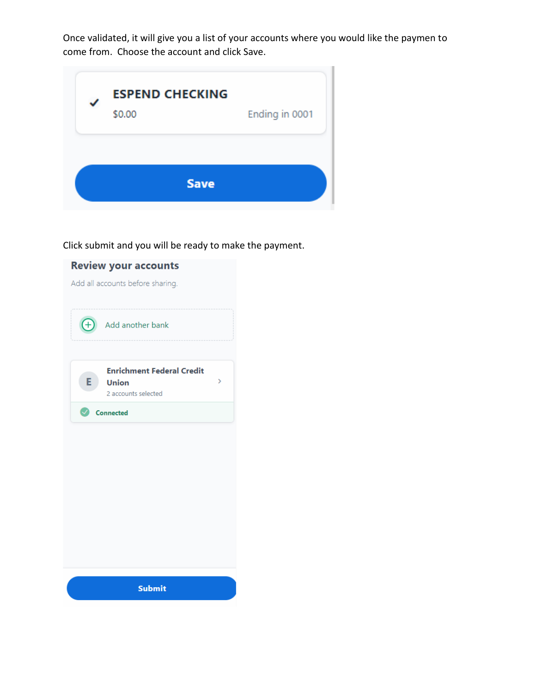Once validated, it will give you a list of your accounts where you would like the paymen to come from. Choose the account and click Save.



Click submit and you will be ready to make the payment.

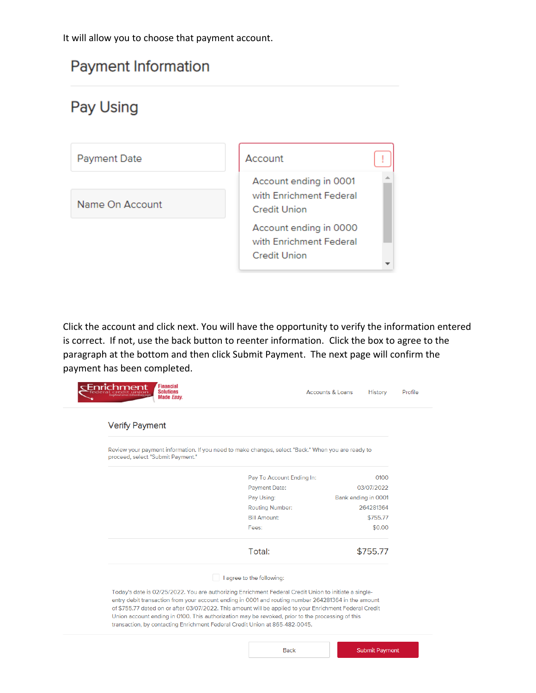It will allow you to choose that payment account.

### **Payment Information**

# Pay Using



Click the account and click next. You will have the opportunity to verify the information entered is correct. If not, use the back button to reenter information. Click the box to agree to the paragraph at the bottom and then click Submit Payment. The next page will confirm the payment has been completed.

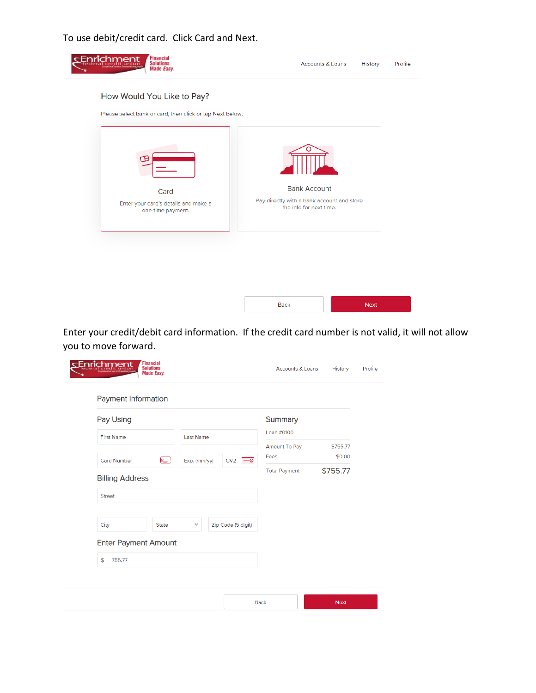#### To use debit/credit card. Click Card and Next.



Enter your credit/debit card information. If the credit card number is not valid, it will not allow you to move forward.

| Pay Using                        |              |                  |                             | Summary       |          |
|----------------------------------|--------------|------------------|-----------------------------|---------------|----------|
| <b>First Name</b>                |              | <b>Last Name</b> |                             | Loan #0100    |          |
|                                  |              |                  |                             | Amount To Pay | \$755.77 |
| <b>Card Number</b>               | e            | Exp. (mm/yy)     | CV <sub>2</sub><br>$-\circ$ | Fees          | \$0.00   |
| <b>Billing Address</b><br>Street |              |                  |                             |               |          |
| City                             | <b>State</b> | $\checkmark$     | Zip Code (5 digit)          |               |          |
| <b>Enter Payment Amount</b>      |              |                  |                             |               |          |
| \$<br>755.77                     |              |                  |                             |               |          |